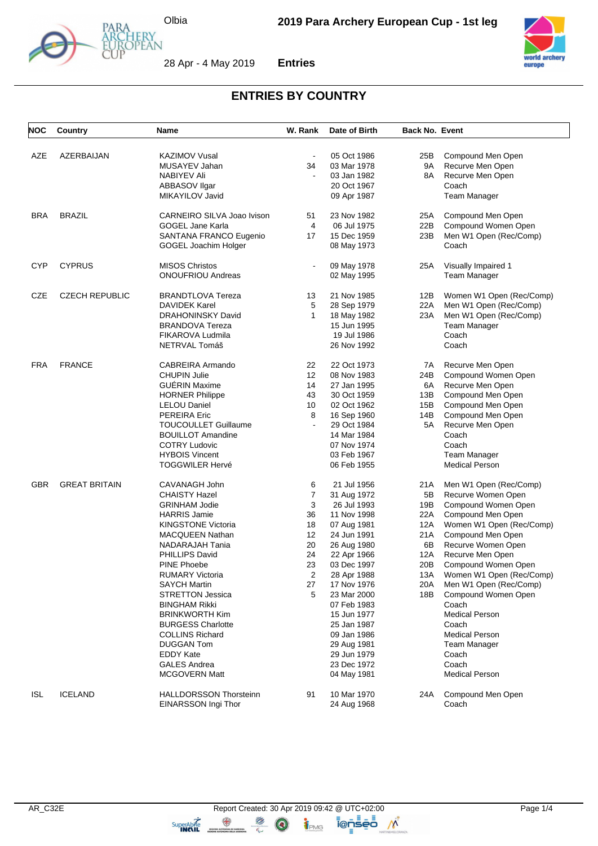

28 Apr - 4 May 2019



**Entries**



## **ENTRIES BY COUNTRY**

| <b>NOC</b> | Country               | Name                          | W. Rank             | Date of Birth | <b>Back No. Event</b> |                          |
|------------|-----------------------|-------------------------------|---------------------|---------------|-----------------------|--------------------------|
|            |                       |                               |                     |               |                       |                          |
| AZE        | AZERBAIJAN            | <b>KAZIMOV Vusal</b>          |                     | 05 Oct 1986   | 25B                   | Compound Men Open        |
|            |                       | MUSAYEV Jahan                 | 34                  | 03 Mar 1978   | 9A                    | Recurve Men Open         |
|            |                       | <b>NABIYEV Ali</b>            |                     | 03 Jan 1982   | 8A                    | Recurve Men Open         |
|            |                       | ABBASOV Ilgar                 |                     | 20 Oct 1967   |                       | Coach                    |
|            |                       | MIKAYILOV Javid               |                     | 09 Apr 1987   |                       | Team Manager             |
| <b>BRA</b> | <b>BRAZIL</b>         | CARNEIRO SILVA Joao Ivison    | 51                  | 23 Nov 1982   | 25A                   | Compound Men Open        |
|            |                       | <b>GOGEL Jane Karla</b>       | 4                   | 06 Jul 1975   | 22B                   | Compound Women Open      |
|            |                       | SANTANA FRANCO Eugenio        | 17                  | 15 Dec 1959   | 23B                   | Men W1 Open (Rec/Comp)   |
|            |                       | GOGEL Joachim Holger          |                     | 08 May 1973   |                       | Coach                    |
| <b>CYP</b> | <b>CYPRUS</b>         | <b>MISOS Christos</b>         | $\blacksquare$      | 09 May 1978   | 25A                   | Visually Impaired 1      |
|            |                       | <b>ONOUFRIOU Andreas</b>      |                     | 02 May 1995   |                       | <b>Team Manager</b>      |
| CZE        | <b>CZECH REPUBLIC</b> | <b>BRANDTLOVA Tereza</b>      | 13                  | 21 Nov 1985   | 12B                   | Women W1 Open (Rec/Comp) |
|            |                       | <b>DAVIDEK Karel</b>          | 5                   | 28 Sep 1979   | 22A                   | Men W1 Open (Rec/Comp)   |
|            |                       | <b>DRAHONINSKY David</b>      | $\mathbf{1}$        | 18 May 1982   | 23A                   | Men W1 Open (Rec/Comp)   |
|            |                       | <b>BRANDOVA Tereza</b>        |                     | 15 Jun 1995   |                       | Team Manager             |
|            |                       | FIKAROVA Ludmila              |                     | 19 Jul 1986   |                       | Coach                    |
|            |                       | NETRVAL Tomáš                 |                     | 26 Nov 1992   |                       | Coach                    |
| FRA        | <b>FRANCE</b>         | CABREIRA Armando              | 22                  | 22 Oct 1973   | 7A                    | Recurve Men Open         |
|            |                       | <b>CHUPIN Julie</b>           | 12                  | 08 Nov 1983   | 24B                   | Compound Women Open      |
|            |                       | <b>GUERIN Maxime</b>          | 14                  | 27 Jan 1995   | 6A                    | Recurve Men Open         |
|            |                       | <b>HORNER Philippe</b>        | 43                  | 30 Oct 1959   | 13B                   | Compound Men Open        |
|            |                       | <b>LELOU Daniel</b>           | 10                  | 02 Oct 1962   | 15B                   | Compound Men Open        |
|            |                       |                               |                     |               |                       |                          |
|            |                       | <b>PEREIRA Eric</b>           | 8<br>$\overline{a}$ | 16 Sep 1960   | 14B                   | Compound Men Open        |
|            |                       | <b>TOUCOULLET Guillaume</b>   |                     | 29 Oct 1984   | 5A                    | Recurve Men Open         |
|            |                       | <b>BOUILLOT Amandine</b>      |                     | 14 Mar 1984   |                       | Coach                    |
|            |                       | <b>COTRY Ludovic</b>          |                     | 07 Nov 1974   |                       | Coach                    |
|            |                       | <b>HYBOIS Vincent</b>         |                     | 03 Feb 1967   |                       | Team Manager             |
|            |                       | <b>TOGGWILER Hervé</b>        |                     | 06 Feb 1955   |                       | <b>Medical Person</b>    |
| <b>GBR</b> | <b>GREAT BRITAIN</b>  | CAVANAGH John                 | 6                   | 21 Jul 1956   | 21A                   | Men W1 Open (Rec/Comp)   |
|            |                       | <b>CHAISTY Hazel</b>          | $\boldsymbol{7}$    | 31 Aug 1972   | 5B                    | Recurve Women Open       |
|            |                       | <b>GRINHAM Jodie</b>          | 3                   | 26 Jul 1993   | 19B                   | Compound Women Open      |
|            |                       | <b>HARRIS Jamie</b>           | 36                  | 11 Nov 1998   | 22A                   | Compound Men Open        |
|            |                       | <b>KINGSTONE Victoria</b>     | 18                  | 07 Aug 1981   | 12A                   | Women W1 Open (Rec/Comp) |
|            |                       | MACQUEEN Nathan               | 12                  | 24 Jun 1991   | 21 A                  | Compound Men Open        |
|            |                       | NADARAJAH Tania               | 20                  | 26 Aug 1980   | 6B                    | Recurve Women Open       |
|            |                       | PHILLIPS David                | 24                  | 22 Apr 1966   | 12A                   | Recurve Men Open         |
|            |                       | <b>PINE Phoebe</b>            | 23                  | 03 Dec 1997   | 20 <sub>B</sub>       | Compound Women Open      |
|            |                       | RUMARY Victoria               | 2                   | 28 Apr 1988   | 13A                   | Women W1 Open (Rec/Comp) |
|            |                       | <b>SAYCH Martin</b>           | 27                  | 17 Nov 1976   | 20A                   | Men W1 Open (Rec/Comp)   |
|            |                       | <b>STRETTON Jessica</b>       | 5                   | 23 Mar 2000   | 18B                   | Compound Women Open      |
|            |                       | <b>BINGHAM Rikki</b>          |                     | 07 Feb 1983   |                       | Coach                    |
|            |                       | <b>BRINKWORTH Kim</b>         |                     | 15 Jun 1977   |                       | <b>Medical Person</b>    |
|            |                       | <b>BURGESS Charlotte</b>      |                     | 25 Jan 1987   |                       | Coach                    |
|            |                       | <b>COLLINS Richard</b>        |                     | 09 Jan 1986   |                       | <b>Medical Person</b>    |
|            |                       | <b>DUGGAN Tom</b>             |                     | 29 Aug 1981   |                       | Team Manager             |
|            |                       | <b>EDDY Kate</b>              |                     | 29 Jun 1979   |                       | Coach                    |
|            |                       | <b>GALES Andrea</b>           |                     | 23 Dec 1972   |                       | Coach                    |
|            |                       | <b>MCGOVERN Matt</b>          |                     | 04 May 1981   |                       | <b>Medical Person</b>    |
|            |                       |                               |                     |               |                       |                          |
| <b>ISL</b> | <b>ICELAND</b>        | <b>HALLDORSSON Thorsteinn</b> | 91                  | 10 Mar 1970   | 24A                   | Compound Men Open        |
|            |                       | EINARSSON Ingi Thor           |                     | 24 Aug 1968   |                       | Coach                    |

 $\circledcirc$ 

TRMG

ienseo

 $\mathcal{N}$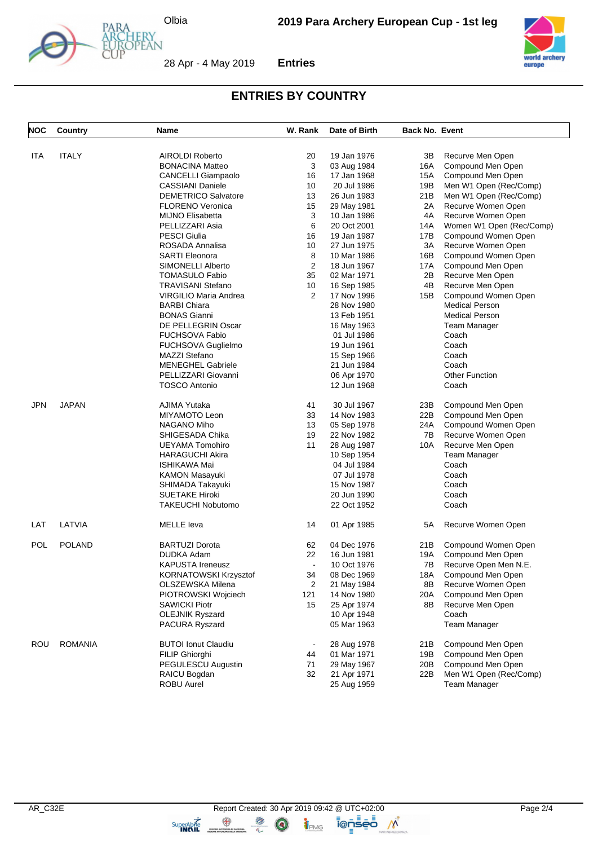

Y<br>AN



28 Apr - 4 May 2019 **Entries**



## **ENTRIES BY COUNTRY**

| NOC        | Country        | Name                       | W. Rank        | Date of Birth | <b>Back No. Event</b> |                          |
|------------|----------------|----------------------------|----------------|---------------|-----------------------|--------------------------|
| ITA        | <b>ITALY</b>   | <b>AIROLDI Roberto</b>     | 20             | 19 Jan 1976   | 3В                    | Recurve Men Open         |
|            |                | <b>BONACINA Matteo</b>     | 3              | 03 Aug 1984   | 16A                   | Compound Men Open        |
|            |                | <b>CANCELLI Giampaolo</b>  | 16             | 17 Jan 1968   | 15A                   | Compound Men Open        |
|            |                | <b>CASSIANI Daniele</b>    | 10             | 20 Jul 1986   | 19B                   | Men W1 Open (Rec/Comp)   |
|            |                | <b>DEMETRICO Salvatore</b> | 13             | 26 Jun 1983   | 21B                   | Men W1 Open (Rec/Comp)   |
|            |                | <b>FLORENO Veronica</b>    | 15             | 29 May 1981   | 2A                    | Recurve Women Open       |
|            |                | <b>MIJNO Elisabetta</b>    | 3              | 10 Jan 1986   | 4A                    | Recurve Women Open       |
|            |                | PELLIZZARI Asia            | 6              | 20 Oct 2001   | 14A                   | Women W1 Open (Rec/Comp) |
|            |                | <b>PESCI Giulia</b>        | 16             | 19 Jan 1987   | 17B                   | Compound Women Open      |
|            |                | ROSADA Annalisa            | 10             | 27 Jun 1975   | ЗΑ                    | Recurve Women Open       |
|            |                | <b>SARTI Eleonora</b>      | 8              | 10 Mar 1986   | 16B                   | Compound Women Open      |
|            |                | <b>SIMONELLI Alberto</b>   | 2              | 18 Jun 1967   | 17A                   | Compound Men Open        |
|            |                | <b>TOMASULO Fabio</b>      | 35             | 02 Mar 1971   | 2Β                    | Recurve Men Open         |
|            |                | <b>TRAVISANI Stefano</b>   | 10             | 16 Sep 1985   | 4B                    | Recurve Men Open         |
|            |                | VIRGILIO Maria Andrea      | 2              | 17 Nov 1996   | 15B                   | Compound Women Open      |
|            |                | <b>BARBI Chiara</b>        |                | 28 Nov 1980   |                       | <b>Medical Person</b>    |
|            |                | <b>BONAS Gianni</b>        |                | 13 Feb 1951   |                       | <b>Medical Person</b>    |
|            |                | DE PELLEGRIN Oscar         |                | 16 May 1963   |                       | <b>Team Manager</b>      |
|            |                | <b>FUCHSOVA Fabio</b>      |                | 01 Jul 1986   |                       | Coach                    |
|            |                | <b>FUCHSOVA Guglielmo</b>  |                | 19 Jun 1961   |                       | Coach                    |
|            |                | <b>MAZZI Stefano</b>       |                | 15 Sep 1966   |                       | Coach                    |
|            |                | <b>MENEGHEL Gabriele</b>   |                | 21 Jun 1984   |                       | Coach                    |
|            |                | PELLIZZARI Giovanni        |                | 06 Apr 1970   |                       | <b>Other Function</b>    |
|            |                | <b>TOSCO Antonio</b>       |                | 12 Jun 1968   |                       | Coach                    |
| JPN        | <b>JAPAN</b>   | AJIMA Yutaka               | 41             | 30 Jul 1967   | 23B                   | Compound Men Open        |
|            |                | MIYAMOTO Leon              | 33             | 14 Nov 1983   | 22B                   | Compound Men Open        |
|            |                | NAGANO Miho                | 13             | 05 Sep 1978   | 24A                   | Compound Women Open      |
|            |                | SHIGESADA Chika            | 19             | 22 Nov 1982   | 7B                    | Recurve Women Open       |
|            |                | UEYAMA Tomohiro            | 11             | 28 Aug 1987   | 10A                   | Recurve Men Open         |
|            |                | <b>HARAGUCHI Akira</b>     |                | 10 Sep 1954   |                       | Team Manager             |
|            |                | ISHIKAWA Mai               |                | 04 Jul 1984   |                       | Coach                    |
|            |                | <b>KAMON Masayuki</b>      |                | 07 Jul 1978   |                       | Coach                    |
|            |                | SHIMADA Takayuki           |                | 15 Nov 1987   |                       | Coach                    |
|            |                | <b>SUETAKE Hiroki</b>      |                | 20 Jun 1990   |                       | Coach                    |
|            |                | <b>TAKEUCHI Nobutomo</b>   |                | 22 Oct 1952   |                       | Coach                    |
| LAT        | LATVIA         | <b>MELLE</b> leva          | 14             | 01 Apr 1985   | 5A                    | Recurve Women Open       |
| <b>POL</b> | <b>POLAND</b>  | <b>BARTUZI Dorota</b>      | 62             | 04 Dec 1976   | 21B                   | Compound Women Open      |
|            |                | <b>DUDKA Adam</b>          | 22             | 16 Jun 1981   | 19A                   | Compound Men Open        |
|            |                | <b>KAPUSTA Ireneusz</b>    | $\blacksquare$ | 10 Oct 1976   | 7В                    | Recurve Open Men N.E.    |
|            |                | KORNATOWSKI Krzysztof      | 34             | 08 Dec 1969   | 18A                   | Compound Men Open        |
|            |                | OLSZEWSKA Milena           | 2              | 21 May 1984   | 8Β                    | Recurve Women Open       |
|            |                | PIOTROWSKI Wojciech        | 121            | 14 Nov 1980   | 20A                   | Compound Men Open        |
|            |                | <b>SAWICKI Piotr</b>       | 15             | 25 Apr 1974   | 8Β                    | Recurve Men Open         |
|            |                | <b>OLEJNIK Ryszard</b>     |                | 10 Apr 1948   |                       | Coach                    |
|            |                | PACURA Ryszard             |                | 05 Mar 1963   |                       | <b>Team Manager</b>      |
| ROU        | <b>ROMANIA</b> | <b>BUTOI Ionut Claudiu</b> |                | 28 Aug 1978   | 21B                   | Compound Men Open        |
|            |                | <b>FILIP Ghiorghi</b>      | 44             | 01 Mar 1971   | 19B                   | Compound Men Open        |
|            |                | PEGULESCU Augustin         | 71             | 29 May 1967   | 20B                   | Compound Men Open        |
|            |                | RAICU Bogdan               | 32             | 21 Apr 1971   | 22B                   | Men W1 Open (Rec/Comp)   |
|            |                | <b>ROBU Aurel</b>          |                | 25 Aug 1959   |                       | <b>Team Manager</b>      |

 $\bigcirc$ 

TPMG

ionseo

 $\mathcal{N}$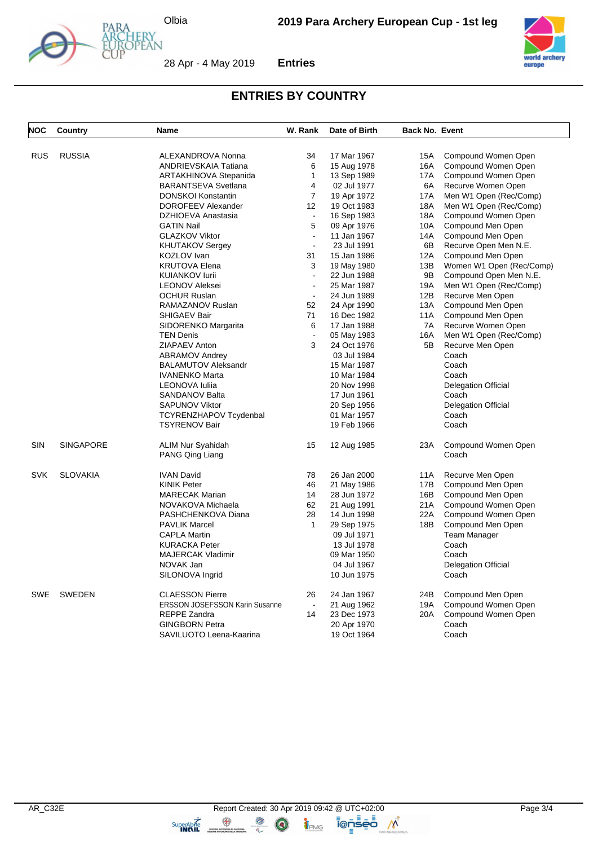

Y<br>AN



28 Apr - 4 May 2019 **Entries**



## **ENTRIES BY COUNTRY**

| <b>NOC</b> | Country          | Name                                                | W. Rank        | Date of Birth              | <b>Back No. Event</b> |                                           |
|------------|------------------|-----------------------------------------------------|----------------|----------------------------|-----------------------|-------------------------------------------|
|            |                  |                                                     |                |                            |                       |                                           |
| RUS        | <b>RUSSIA</b>    | ALEXANDROVA Nonna                                   | 34<br>6        | 17 Mar 1967                | 15A                   | Compound Women Open                       |
|            |                  | <b>ANDRIEVSKAIA Tatiana</b>                         | $\mathbf{1}$   | 15 Aug 1978                | 16A                   | Compound Women Open                       |
|            |                  | ARTAKHINOVA Stepanida<br><b>BARANTSEVA Svetlana</b> | 4              | 13 Sep 1989<br>02 Jul 1977 | 17A<br>6A             | Compound Women Open<br>Recurve Women Open |
|            |                  | <b>DONSKOI Konstantin</b>                           | $\overline{7}$ | 19 Apr 1972                | <b>17A</b>            | Men W1 Open (Rec/Comp)                    |
|            |                  | DOROFEEV Alexander                                  | 12             | 19 Oct 1983                | 18A                   | Men W1 Open (Rec/Comp)                    |
|            |                  | DZHIOEVA Anastasia                                  | $\blacksquare$ | 16 Sep 1983                | 18A                   | Compound Women Open                       |
|            |                  | <b>GATIN Nail</b>                                   | 5              | 09 Apr 1976                | 10A                   | Compound Men Open                         |
|            |                  | <b>GLAZKOV Viktor</b>                               | L.             | 11 Jan 1967                | 14A                   | Compound Men Open                         |
|            |                  | <b>KHUTAKOV Sergey</b>                              | $\mathbf{r}$   | 23 Jul 1991                | 6B                    | Recurve Open Men N.E.                     |
|            |                  | KOZLOV Ivan                                         | 31             | 15 Jan 1986                | 12A                   | Compound Men Open                         |
|            |                  | <b>KRUTOVA Elena</b>                                | 3              | 19 May 1980                | 13B                   | Women W1 Open (Rec/Comp)                  |
|            |                  | <b>KUIANKOV lurii</b>                               | $\mathbf{r}$   | 22 Jun 1988                | 9B                    | Compound Open Men N.E.                    |
|            |                  | <b>LEONOV Aleksei</b>                               | $\blacksquare$ | 25 Mar 1987                | 19A                   | Men W1 Open (Rec/Comp)                    |
|            |                  | <b>OCHUR Ruslan</b>                                 | $\blacksquare$ | 24 Jun 1989                | 12B                   | Recurve Men Open                          |
|            |                  | RAMAZANOV Ruslan                                    | 52             | 24 Apr 1990                | 13A                   | Compound Men Open                         |
|            |                  | <b>SHIGAEV Bair</b>                                 | 71             | 16 Dec 1982                | 11A                   | Compound Men Open                         |
|            |                  | SIDORENKO Margarita                                 | 6              | 17 Jan 1988                | 7A                    | Recurve Women Open                        |
|            |                  | <b>TEN Denis</b>                                    |                | 05 May 1983                | 16A                   | Men W1 Open (Rec/Comp)                    |
|            |                  | ZIAPAEV Anton                                       | 3              | 24 Oct 1976                | 5B                    | Recurve Men Open                          |
|            |                  | <b>ABRAMOV Andrey</b>                               |                | 03 Jul 1984                |                       | Coach                                     |
|            |                  | <b>BALAMUTOV Aleksandr</b>                          |                | 15 Mar 1987                |                       | Coach                                     |
|            |                  | <b>IVANENKO Marta</b>                               |                | 10 Mar 1984                |                       | Coach                                     |
|            |                  | LEONOVA Iuliia                                      |                | 20 Nov 1998                |                       | <b>Delegation Official</b>                |
|            |                  | <b>SANDANOV Balta</b>                               |                | 17 Jun 1961                |                       | Coach                                     |
|            |                  | <b>SAPUNOV Viktor</b>                               |                | 20 Sep 1956                |                       | <b>Delegation Official</b>                |
|            |                  | <b>TCYRENZHAPOV Tcydenbal</b>                       |                | 01 Mar 1957                |                       | Coach                                     |
|            |                  | <b>TSYRENOV Bair</b>                                |                | 19 Feb 1966                |                       | Coach                                     |
| SIN        | <b>SINGAPORE</b> | ALIM Nur Syahidah                                   | 15             | 12 Aug 1985                | 23A                   | Compound Women Open                       |
|            |                  | PANG Qing Liang                                     |                |                            |                       | Coach                                     |
| <b>SVK</b> | <b>SLOVAKIA</b>  | <b>IVAN David</b>                                   | 78             | 26 Jan 2000                | 11A                   | Recurve Men Open                          |
|            |                  | <b>KINIK Peter</b>                                  | 46             | 21 May 1986                | 17B                   | Compound Men Open                         |
|            |                  | <b>MARECAK Marian</b>                               | 14             | 28 Jun 1972                | 16B                   | Compound Men Open                         |
|            |                  | NOVAKOVA Michaela                                   | 62             | 21 Aug 1991                | 21A                   | Compound Women Open                       |
|            |                  | PASHCHENKOVA Diana                                  | 28             | 14 Jun 1998                | 22A                   | Compound Women Open                       |
|            |                  | <b>PAVLIK Marcel</b>                                | 1              | 29 Sep 1975                | 18B                   | Compound Men Open                         |
|            |                  | <b>CAPLA Martin</b>                                 |                | 09 Jul 1971                |                       | <b>Team Manager</b>                       |
|            |                  | <b>KURACKA Peter</b>                                |                | 13 Jul 1978                |                       | Coach                                     |
|            |                  | <b>MAJERCAK Vladimir</b>                            |                | 09 Mar 1950                |                       | Coach                                     |
|            |                  | NOVAK Jan                                           |                | 04 Jul 1967                |                       | <b>Delegation Official</b>                |
|            |                  | SILONOVA Ingrid                                     |                | 10 Jun 1975                |                       | Coach                                     |
| <b>SWE</b> | <b>SWEDEN</b>    | <b>CLAESSON Pierre</b>                              | 26             | 24 Jan 1967                | 24B                   | Compound Men Open                         |
|            |                  | <b>ERSSON JOSEFSSON Karin Susanne</b>               | $\blacksquare$ | 21 Aug 1962                | 19A                   | Compound Women Open                       |
|            |                  | <b>REPPE Zandra</b>                                 | 14             | 23 Dec 1973                | 20A                   | Compound Women Open                       |
|            |                  | <b>GINGBORN Petra</b>                               |                | 20 Apr 1970                |                       | Coach                                     |
|            |                  | SAVILUOTO Leena-Kaarina                             |                | 19 Oct 1964                |                       | Coach                                     |

 $\bigcirc$ 

TPMG